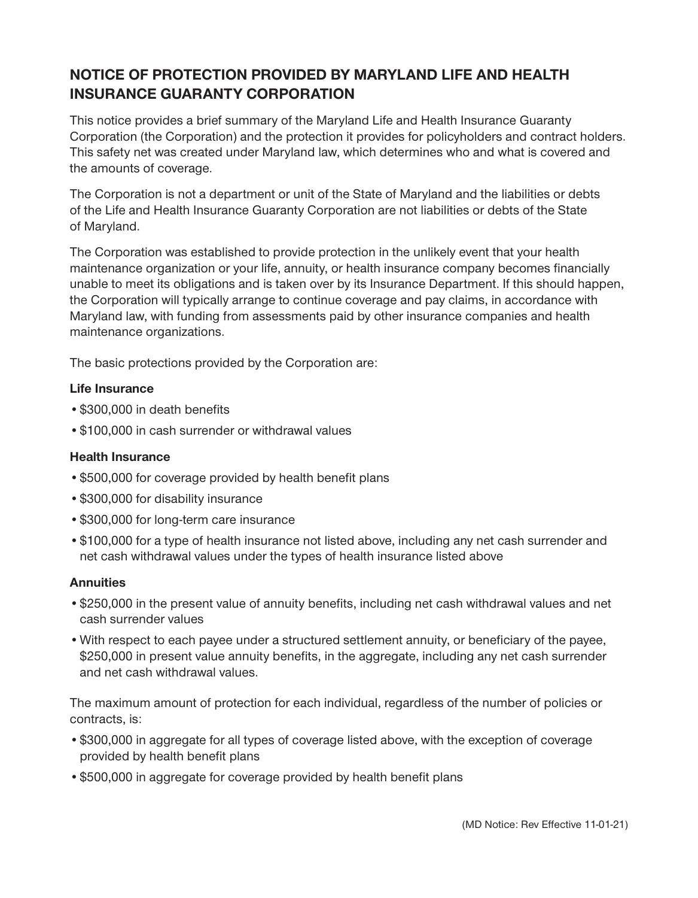## **NOTICE OF PROTECTION PROVIDED BY MARYLAND LIFE AND HEALTH INSURANCE GUARANTY CORPORATION**

This notice provides a brief summary of the Maryland Life and Health Insurance Guaranty Corporation (the Corporation) and the protection it provides for policyholders and contract holders. This safety net was created under Maryland law, which determines who and what is covered and the amounts of coverage.

The Corporation is not a department or unit of the State of Maryland and the liabilities or debts of the Life and Health Insurance Guaranty Corporation are not liabilities or debts of the State of Maryland.

The Corporation was established to provide protection in the unlikely event that your health maintenance organization or your life, annuity, or health insurance company becomes financially unable to meet its obligations and is taken over by its Insurance Department. If this should happen, the Corporation will typically arrange to continue coverage and pay claims, in accordance with Maryland law, with funding from assessments paid by other insurance companies and health maintenance organizations.

The basic protections provided by the Corporation are:

## **Life Insurance**

- •\$300,000 in death benefits
- •\$100,000 in cash surrender or withdrawal values

## **Health Insurance**

- •\$500,000 for coverage provided by health benefit plans
- •\$300,000 for disability insurance
- •\$300,000 for long-term care insurance
- •\$100,000 for a type of health insurance not listed above, including any net cash surrender and net cash withdrawal values under the types of health insurance listed above

## **Annuities**

- •\$250,000 in the present value of annuity benefits, including net cash withdrawal values and net cash surrender values
- •With respect to each payee under a structured settlement annuity, or beneficiary of the payee, \$250,000 in present value annuity benefits, in the aggregate, including any net cash surrender and net cash withdrawal values.

The maximum amount of protection for each individual, regardless of the number of policies or contracts, is:

- •\$300,000 in aggregate for all types of coverage listed above, with the exception of coverage provided by health benefit plans
- •\$500,000 in aggregate for coverage provided by health benefit plans